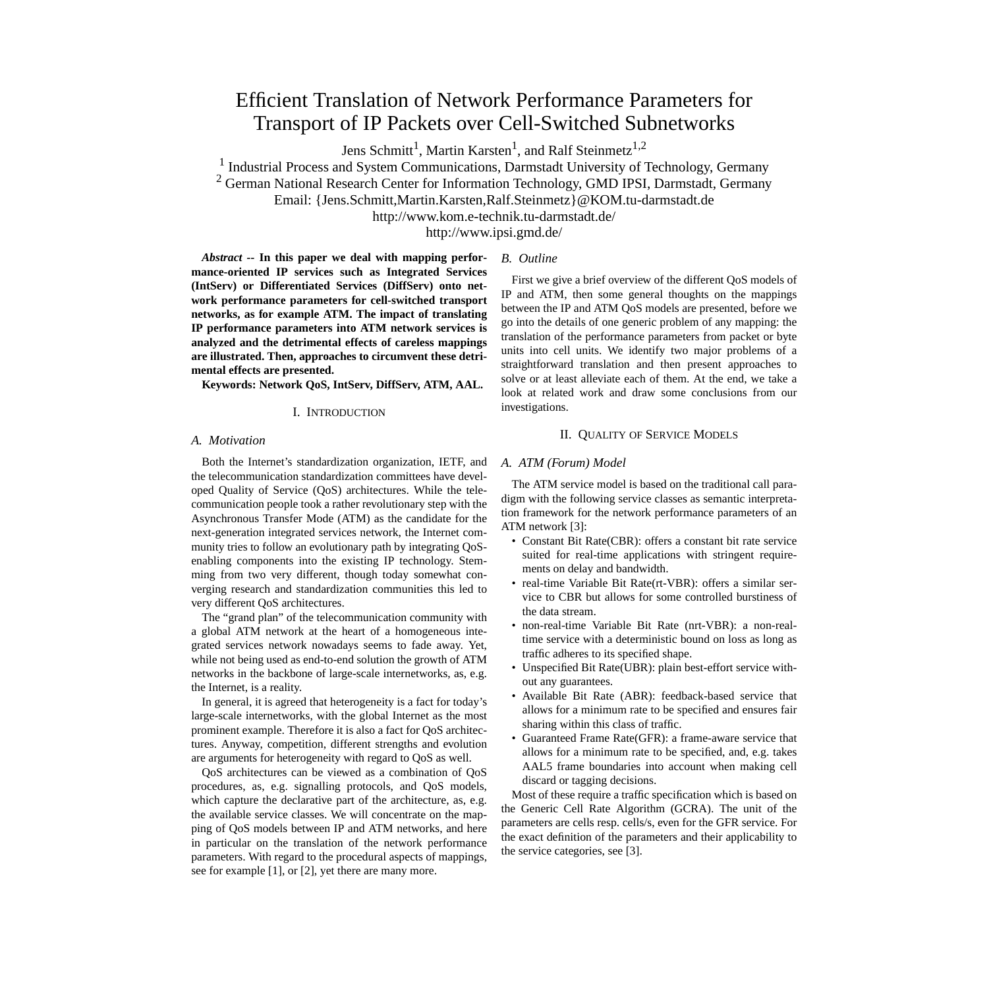# Efficient Translation of Network Performance Parameters for Transport of IP Packets over Cell-Switched Subnetworks

Jens Schmitt<sup>1</sup>, Martin Karsten<sup>1</sup>, and Ralf Steinmetz<sup>1,2</sup>

<sup>1</sup> Industrial Process and System Communications, Darmstadt University of Technology, Germany

<sup>2</sup> German National Research Center for Information Technology, GMD IPSI, Darmstadt, Germany

Email: {Jens.Schmitt,Martin.Karsten,Ralf.Steinmetz}@KOM.tu-darmstadt.de

http://www.kom.e-technik.tu-darmstadt.de/

http://www.ipsi.gmd.de/

*Abstract --* **In this paper we deal with mapping performance-oriented IP services such as Integrated Services (IntServ) or Differentiated Services (DiffServ) onto network performance parameters for cell-switched transport networks, as for example ATM. The impact of translating IP performance parameters into ATM network services is analyzed and the detrimental effects of careless mappings are illustrated. Then, approaches to circumvent these detrimental effects are presented.**

**Keywords: Network QoS, IntServ, DiffServ, ATM, AAL.**

## I. INTRODUCTION

#### *A. Motivation*

Both the Internet's standardization organization, IETF, and the telecommunication standardization committees have developed Quality of Service (QoS) architectures. While the telecommunication people took a rather revolutionary step with the Asynchronous Transfer Mode (ATM) as the candidate for the next-generation integrated services network, the Internet community tries to follow an evolutionary path by integrating QoSenabling components into the existing IP technology. Stemming from two very different, though today somewhat converging research and standardization communities this led to very different QoS architectures.

The "grand plan" of the telecommunication community with a global ATM network at the heart of a homogeneous integrated services network nowadays seems to fade away. Yet, while not being used as end-to-end solution the growth of ATM networks in the backbone of large-scale internetworks, as, e.g. the Internet, is a reality.

In general, it is agreed that heterogeneity is a fact for today's large-scale internetworks, with the global Internet as the most prominent example. Therefore it is also a fact for QoS architectures. Anyway, competition, different strengths and evolution are arguments for heterogeneity with regard to QoS as well.

QoS architectures can be viewed as a combination of QoS procedures, as, e.g. signalling protocols, and QoS models, which capture the declarative part of the architecture, as, e.g. the available service classes. We will concentrate on the mapping of QoS models between IP and ATM networks, and here in particular on the translation of the network performance parameters. With regard to the procedural aspects of mappings, see for example [1], or [2], yet there are many more.

# *B. Outline*

First we give a brief overview of the different QoS models of IP and ATM, then some general thoughts on the mappings between the IP and ATM QoS models are presented, before we go into the details of one generic problem of any mapping: the translation of the performance parameters from packet or byte units into cell units. We identify two major problems of a straightforward translation and then present approaches to solve or at least alleviate each of them. At the end, we take a look at related work and draw some conclusions from our investigations.

# II. QUALITY OF SERVICE MODELS

## *A. ATM (Forum) Model*

The ATM service model is based on the traditional call paradigm with the following service classes as semantic interpretation framework for the network performance parameters of an ATM network [3]:

- Constant Bit Rate(CBR): offers a constant bit rate service suited for real-time applications with stringent requirements on delay and bandwidth.
- real-time Variable Bit Rate(rt-VBR): offers a similar service to CBR but allows for some controlled burstiness of the data stream.
- non-real-time Variable Bit Rate (nrt-VBR): a non-realtime service with a deterministic bound on loss as long as traffic adheres to its specified shape.
- Unspecified Bit Rate(UBR): plain best-effort service without any guarantees.
- Available Bit Rate (ABR): feedback-based service that allows for a minimum rate to be specified and ensures fair sharing within this class of traffic.
- Guaranteed Frame Rate(GFR): a frame-aware service that allows for a minimum rate to be specified, and, e.g. takes AAL5 frame boundaries into account when making cell discard or tagging decisions.

Most of these require a traffic specification which is based on the Generic Cell Rate Algorithm (GCRA). The unit of the parameters are cells resp. cells/s, even for the GFR service. For the exact definition of the parameters and their applicability to the service categories, see [3].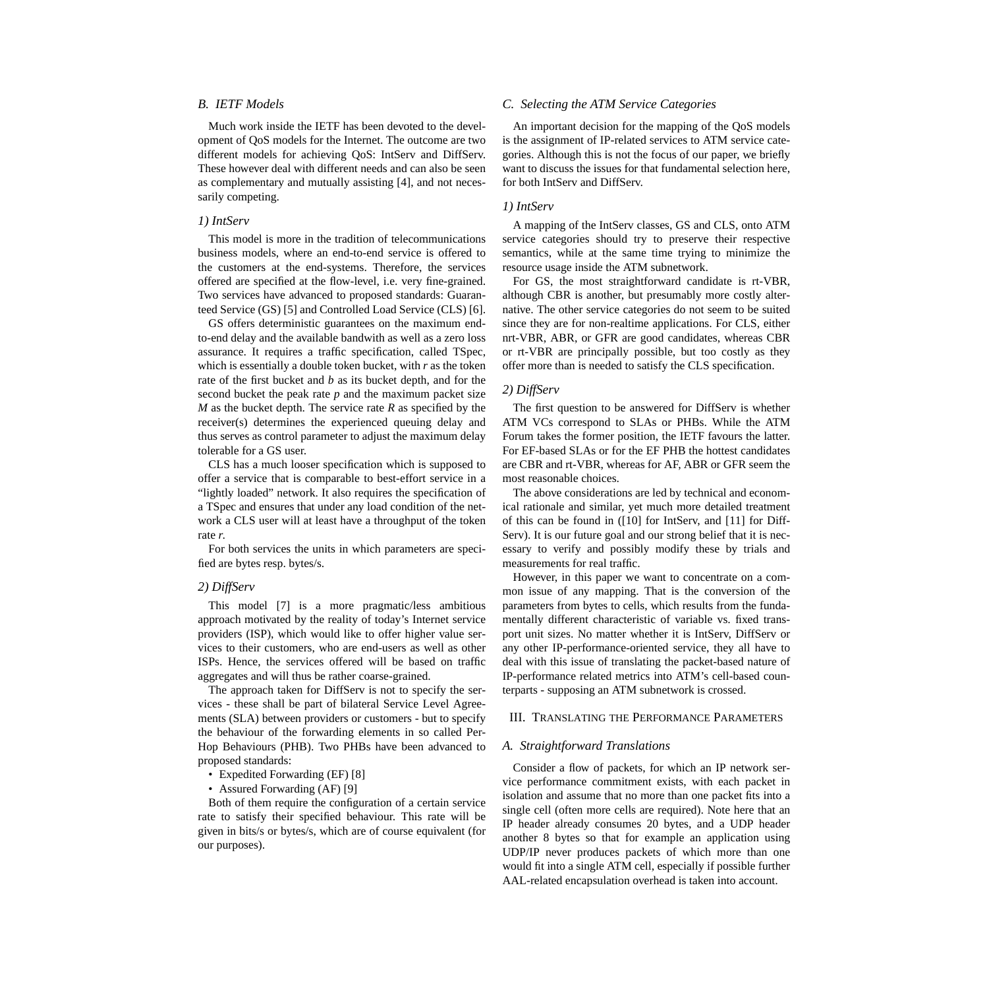# <span id="page-1-0"></span>*B. IETF Models*

Much work inside the IETF has been devoted to the development of QoS models for the Internet. The outcome are two different models for achieving QoS: IntServ and DiffServ. These however deal with different needs and can also be seen as complementary and mutually assisting [4], and not necessarily competing.

#### *1) IntServ*

This model is more in the tradition of telecommunications business models, where an end-to-end service is offered to the customers at the end-systems. Therefore, the services offered are specified at the flow-level, i.e. very fine-grained. Two services have advanced to proposed standards: Guaranteed Service (GS) [5] and Controlled Load Service (CLS) [6].

GS offers deterministic guarantees on the maximum endto-end delay and the available bandwith as well as a zero loss assurance. It requires a traffic specification, called TSpec, which is essentially a double token bucket, with *r* as the token rate of the first bucket and *b* as its bucket depth, and for the second bucket the peak rate *p* and the maximum packet size *M* as the bucket depth. The service rate *R* as specified by the receiver(s) determines the experienced queuing delay and thus serves as control parameter to adjust the maximum delay tolerable for a GS user.

CLS has a much looser specification which is supposed to offer a service that is comparable to best-effort service in a "lightly loaded" network. It also requires the specification of a TSpec and ensures that under any load condition of the network a CLS user will at least have a throughput of the token rate *r*.

For both services the units in which parameters are specified are bytes resp. bytes/s.

# *2) DiffServ*

This model [7] is a more pragmatic/less ambitious approach motivated by the reality of today's Internet service providers (ISP), which would like to offer higher value services to their customers, who are end-users as well as other ISPs. Hence, the services offered will be based on traffic aggregates and will thus be rather coarse-grained.

The approach taken for DiffServ is not to specify the services - these shall be part of bilateral Service Level Agreements (SLA) between providers or customers - but to specify the behaviour of the forwarding elements in so called Per-Hop Behaviours (PHB). Two PHBs have been advanced to proposed standards:

- Expedited Forwarding (EF) [8]
- Assured Forwarding (AF) [9]

Both of them require the configuration of a certain service rate to satisfy their specified behaviour. This rate will be given in bits/s or bytes/s, which are of course equivalent (for our purposes).

## *C. Selecting the ATM Service Categories*

An important decision for the mapping of the QoS models is the assignment of IP-related services to ATM service categories. Although this is not the focus of our paper, we briefly want to discuss the issues for that fundamental selection here, for both IntServ and DiffServ.

## *1) IntServ*

A mapping of the IntServ classes, GS and CLS, onto ATM service categories should try to preserve their respective semantics, while at the same time trying to minimize the resource usage inside the ATM subnetwork.

For GS, the most straightforward candidate is rt-VBR, although CBR is another, but presumably more costly alternative. The other service categories do not seem to be suited since they are for non-realtime applications. For CLS, either nrt-VBR, ABR, or GFR are good candidates, whereas CBR or rt-VBR are principally possible, but too costly as they offer more than is needed to satisfy the CLS specification.

## *2) DiffServ*

The first question to be answered for DiffServ is whether ATM VCs correspond to SLAs or PHBs. While the ATM Forum takes the former position, the IETF favours the latter. For EF-based SLAs or for the EF PHB the hottest candidates are CBR and rt-VBR, whereas for AF, ABR or GFR seem the most reasonable choices.

The above considerations are led by technical and economical rationale and similar, yet much more detailed treatment of this can be found in ([10] for IntServ, and [11] for Diff-Serv). It is our future goal and our strong belief that it is necessary to verify and possibly modify these by trials and measurements for real traffic.

However, in this paper we want to concentrate on a common issue of any mapping. That is the conversion of the parameters from bytes to cells, which results from the fundamentally different characteristic of variable vs. fixed transport unit sizes. No matter whether it is IntServ, DiffServ or any other IP-performance-oriented service, they all have to deal with this issue of translating the packet-based nature of IP-performance related metrics into ATM's cell-based counterparts - supposing an ATM subnetwork is crossed.

#### III. TRANSLATING THE PERFORMANCE PARAMETERS

#### *A. Straightforward Translations*

Consider a flow of packets, for which an IP network service performance commitment exists, with each packet in isolation and assume that no more than one packet fits into a single cell (often more cells are required). Note here that an IP header already consumes 20 bytes, and a UDP header another 8 bytes so that for example an application using UDP/IP never produces packets of which more than one would fit into a single ATM cell, especially if possible further AAL-related encapsulation overhead is taken into account.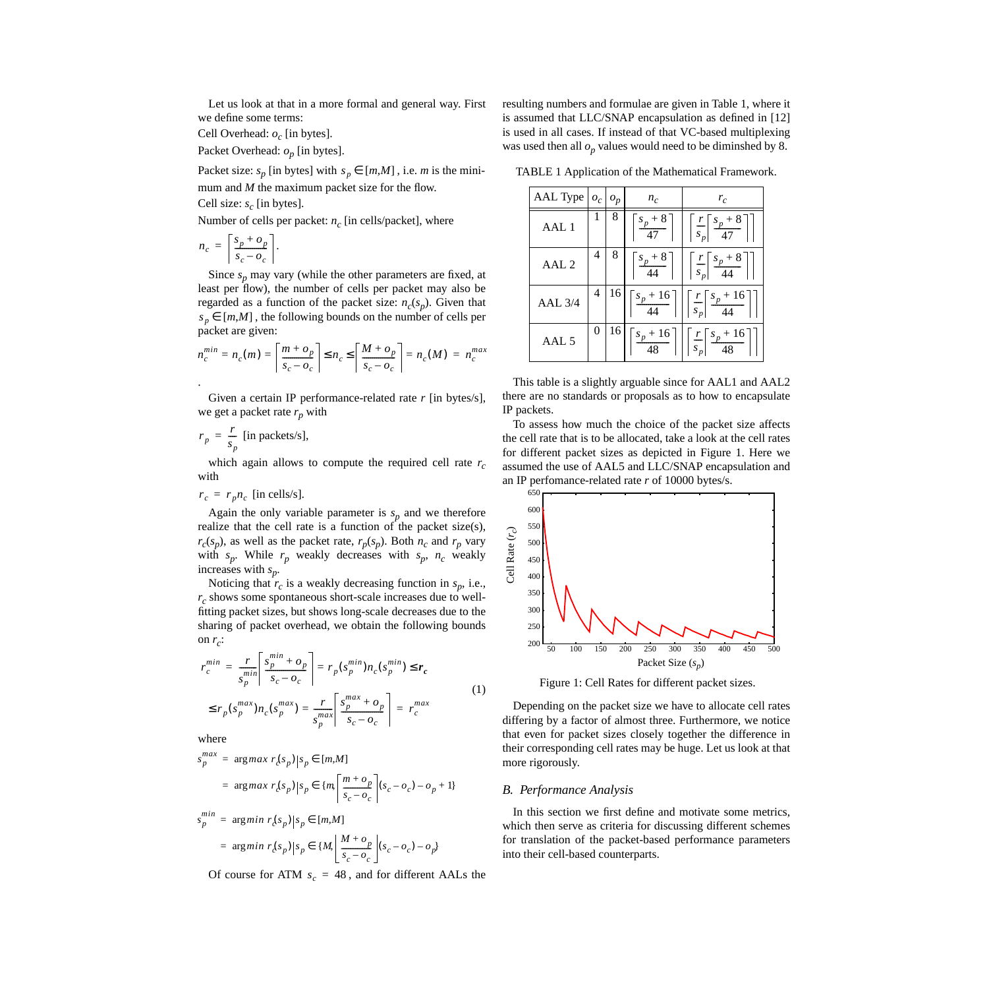Let us look at that in a more formal and general way. First we define some terms:

Cell Overhead:  $o_c$  [in bytes].

Packet Overhead: *op* [in bytes].

Packet size:  $s_p$  [in bytes] with  $s_p \in [m, M]$ , i.e. *m* is the minimum and *M* the maximum packet size for the flow.

Cell size:  $s_c$  [in bytes].

Number of cells per packet:  $n_c$  [in cells/packet], where

$$
n_c = \left\lceil \frac{s_p + o_p}{s_c - o_c} \right\rceil.
$$

Since  $s_p$  may vary (while the other parameters are fixed, at least per flow), the number of cells per packet may also be regarded as a function of the packet size:  $n_c(s_p)$ . Given that  $s_p \in [m, M]$ , the following bounds on the number of cells per packet are given:

$$
n_c^{min} = n_c(m) = \left\lceil \frac{m + o_p}{s_c - o_c} \right\rceil \le n_c \le \left\lceil \frac{M + o_p}{s_c - o_c} \right\rceil = n_c(M) = n_c^{max}
$$

Given a certain IP performance-related rate *r* [in bytes/s], we get a packet rate  $r_p$  with

 $r_p = \frac{r}{s}$  [in packets/s],  $=\frac{I}{s_p}$ 

which again allows to compute the required cell rate  $r_c$ with

 $r_c = r_p n_c$  [in cells/s].

Again the only variable parameter is  $s_p$  and we therefore realize that the cell rate is a function of the packet size(s),  $r_c(s_p)$ , as well as the packet rate,  $r_p(s_p)$ . Both  $n_c$  and  $r_p$  vary with  $s_p$ . While  $r_p$  weakly decreases with  $s_p$ ,  $n_c$  weakly increases with *sp*.

Noticing that  $r_c$  is a weakly decreasing function in  $s_p$ , i.e.,  $r_c$  shows some spontaneous short-scale increases due to wellfitting packet sizes, but shows long-scale decreases due to the sharing of packet overhead, we obtain the following bounds on  $r_c$ :

$$
r_c^{min} = \frac{r}{s_p^{min}} \left[ \frac{s_p^{min} + o_p}{s_c - o_c} \right] = r_p(s_p^{min}) n_c(s_p^{min}) \le r_c
$$
  

$$
\le r_p(s_p^{max}) n_c(s_p^{max}) = \frac{r}{s_p^{max}} \left[ \frac{s_p^{max} + o_p}{s_c - o_c} \right] = r_c^{max}
$$
 (1)

where

$$
s_p^{max} = \underset{p}{\text{argmax}} r(s_p) | s_p \in [m, M]
$$
  
= \underset{p}{\text{argmax}} r(s\_p) | s\_p \in \{m \left\lceil \frac{m + o\_p}{s\_c - o\_c} \right\rceil (s\_c - o\_c) - o\_p + 1\}  

$$
s_p^{min} = \underset{p}{\text{argmin}} r(s_p) | s_p \in [m, M]
$$

$$
= \underset{S_C}{\text{argmin}} \ r(s_p) \big| s_p \in \{M, \left[ \frac{M + o_p}{s_c - o_c} \right] (s_c - o_c) - o_p \}
$$

Of course for ATM  $s_c = 48$ , and for different AALs the

resulting numbers and formulae are given in Table 1, where it is assumed that LLC/SNAP encapsulation as defined in [12] is used in all cases. If instead of that VC-based multiplexing was used then all  $o_p$  values would need to be diminshed by 8.

TABLE 1 Application of the Mathematical Framework.

| AAL Type $ o_c $ $o_p$ |          |                 | $n_c$              | $r_c$                                         |
|------------------------|----------|-----------------|--------------------|-----------------------------------------------|
| AAL <sub>1</sub>       |          | 8               | $\frac{s_p+8}{47}$ | $\left \frac{r}{s_p}\right  \frac{s_p+8}{47}$ |
| AAL <sub>2</sub>       | 4        | 8               | $\frac{s_p+8}{44}$ | $\frac{r}{s_p} \frac{s_p + 8}{44}$            |
| <b>AAL 3/4</b>         | 4        | 16              | $ s_p+16 $         | $\frac{r}{s_p} \frac{s_p + 16}{44}$           |
| AAL <sub>5</sub>       | $\theta$ | 16 <sup>1</sup> | $ s_p+16 $         | $\frac{r}{s_p} \frac{s_p + 16}{48}$           |

This table is a slightly arguable since for AAL1 and AAL2 there are no standards or proposals as to how to encapsulate IP packets.

To assess how much the choice of the packet size affects the cell rate that is to be allocated, take a look at the cell rates for different packet sizes as depicted in Figure 1. Here we assumed the use of AAL5 and LLC/SNAP encapsulation and an IP perfomance-related rate *r* of 10000 bytes/s.



Figure 1: Cell Rates for different packet sizes.

Depending on the packet size we have to allocate cell rates differing by a factor of almost three. Furthermore, we notice that even for packet sizes closely together the difference in their corresponding cell rates may be huge. Let us look at that more rigorously.

## *B. Performance Analysis*

In this section we first define and motivate some metrics, which then serve as criteria for discussing different schemes for translation of the packet-based performance parameters into their cell-based counterparts.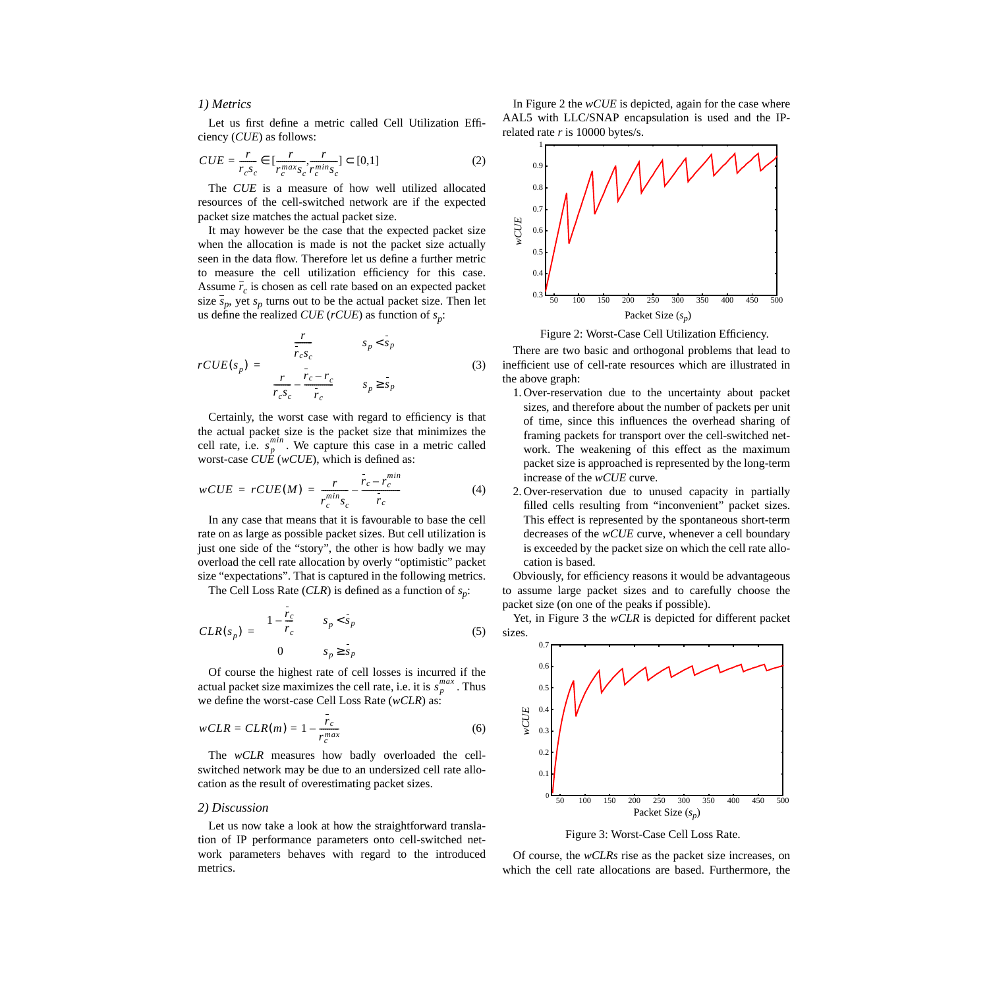## *1) Metrics*

Let us first define a metric called Cell Utilization Efficiency (*CUE*) as follows:

$$
CUE = \frac{r}{r_c s_c} \in \left[\frac{r}{r_c^{max} s_c}, \frac{r}{r_c^{min} s_c}\right] \subset [0,1]
$$
 (2)

The *CUE* is a measure of how well utilized allocated resources of the cell-switched network are if the expected packet size matches the actual packet size.

It may however be the case that the expected packet size when the allocation is made is not the packet size actually seen in the data flow. Therefore let us define a further metric to measure the cell utilization efficiency for this case. Assume  $\bar{r}_c$  is chosen as cell rate based on an expected packet size  $\overline{s}_p$ , yet  $s_p$  turns out to be the actual packet size. Then let us define the realized *CUE* ( $rCUE$ ) as function of  $s_n$ .

$$
rCUE(s_p) = \begin{cases} \frac{r}{r_c s_c} & s_p < \bar{s}_p\\ \frac{r}{r_c s_c} - \frac{\bar{r}_c - r_c}{\bar{r}_c} & s_p \ge \bar{s}_p \end{cases}
$$
(3)

Certainly, the worst case with regard to efficiency is that the actual packet size is the packet size that minimizes the cell rate, i.e.  $s_p^{min}$ . We capture this case in a metric called worst-case  $CUE$  (*wCUE*), which is defined as:

$$
wCUE = rCUE(M) = \frac{r}{r_c^{min} s_c} - \frac{\bar{r}_c - r_c^{min}}{\bar{r}_c}
$$
(4)

In any case that means that it is favourable to base the cell rate on as large as possible packet sizes. But cell utilization is just one side of the "story", the other is how badly we may overload the cell rate allocation by overly "optimistic" packet size "expectations". That is captured in the following metrics.

The Cell Loss Rate (*CLR*) is defined as a function of *sp*:

$$
CLR(s_p) = \begin{cases} 1 - \frac{r_c}{r_c} & s_p < \bar{s}_p \\ 0 & s_p \ge \bar{s}_p \end{cases}
$$
 (5)

Of course the highest rate of cell losses is incurred if the actual packet size maximizes the cell rate, i.e. it is  $s_p^{max}$ . Thus we define the worst-case Cell Loss Rate (*wCLR*) as:

$$
wCLR = CLR(m) = 1 - \frac{\bar{r}_c}{r_c^{max}} \tag{6}
$$

The *wCLR* measures how badly overloaded the cellswitched network may be due to an undersized cell rate allocation as the result of overestimating packet sizes.

## *2) Discussion*

Let us now take a look at how the straightforward translation of IP performance parameters onto cell-switched network parameters behaves with regard to the introduced metrics.

In Figure 2 the *wCUE* is depicted, again for the case where AAL5 with LLC/SNAP encapsulation is used and the IPrelated rate *r* is 10000 bytes/s.



Figure 2: Worst-Case Cell Utilization Efficiency.

There are two basic and orthogonal problems that lead to inefficient use of cell-rate resources which are illustrated in the above graph:

- 1. Over-reservation due to the uncertainty about packet sizes, and therefore about the number of packets per unit of time, since this influences the overhead sharing of framing packets for transport over the cell-switched network. The weakening of this effect as the maximum packet size is approached is represented by the long-term increase of the *wCUE* curve.
- 2. Over-reservation due to unused capacity in partially filled cells resulting from "inconvenient" packet sizes. This effect is represented by the spontaneous short-term decreases of the *wCUE* curve, whenever a cell boundary is exceeded by the packet size on which the cell rate allocation is based.

Obviously, for efficiency reasons it would be advantageous to assume large packet sizes and to carefully choose the packet size (on one of the peaks if possible).

Yet, in Figure 3 the *wCLR* is depicted for different packet sizes.



Figure 3: Worst-Case Cell Loss Rate.

Of course, the *wCLRs* rise as the packet size increases, on which the cell rate allocations are based. Furthermore, the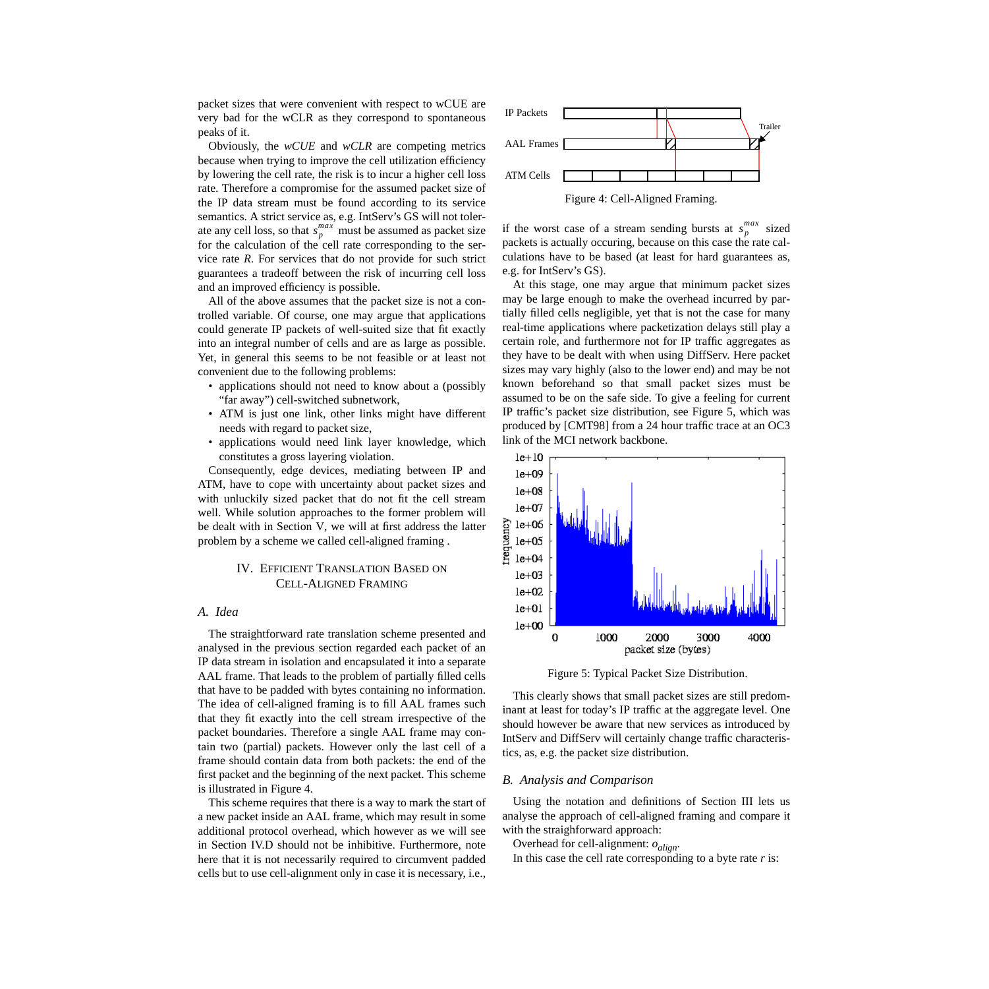packet sizes that were convenient with respect to wCUE are very bad for the wCLR as they correspond to spontaneous peaks of it.

Obviously, the *wCUE* and *wCLR* are competing metrics because when trying to improve the cell utilization efficiency by lowering the cell rate, the risk is to incur a higher cell loss rate. Therefore a compromise for the assumed packet size of the IP data stream must be found according to its service semantics. A strict service as, e.g. IntServ's GS will not tolerate any cell loss, so that  $s_p^{max}$  must be assumed as packet size for the calculation of the cell rate corresponding to the service rate *R*. For services that do not provide for such strict guarantees a tradeoff between the risk of incurring cell loss and an improved efficiency is possible.

All of the above assumes that the packet size is not a controlled variable. Of course, one may argue that applications could generate IP packets of well-suited size that fit exactly into an integral number of cells and are as large as possible. Yet, in general this seems to be not feasible or at least not convenient due to the following problems:

- applications should not need to know about a (possibly "far away") cell-switched subnetwork,
- ATM is just one link, other links might have different needs with regard to packet size,
- applications would need link layer knowledge, which constitutes a gross layering violation.

Consequently, edge devices, mediating between IP and ATM, have to cope with uncertainty about packet sizes and with unluckily sized packet that do not fit the cell stream well. While solution approaches to the former problem will be dealt with in [Section V](#page-6-0), we will at first address the latter problem by a scheme we called cell-aligned framing .

# IV. EFFICIENT TRANSLATION BASED ON CELL-ALIGNED FRAMING

# *A. Idea*

The straightforward rate translation scheme presented and analysed in the previous section regarded each packet of an IP data stream in isolation and encapsulated it into a separate AAL frame. That leads to the problem of partially filled cells that have to be padded with bytes containing no information. The idea of cell-aligned framing is to fill AAL frames such that they fit exactly into the cell stream irrespective of the packet boundaries. Therefore a single AAL frame may contain two (partial) packets. However only the last cell of a frame should contain data from both packets: the end of the first packet and the beginning of the next packet. This scheme is illustrated in Figure 4.

This scheme requires that there is a way to mark the start of a new packet inside an AAL frame, which may result in some additional protocol overhead, which however as we will see in [Section IV.D](#page-5-0) should not be inhibitive. Furthermore, note here that it is not necessarily required to circumvent padded cells but to use cell-alignment only in case it is necessary, i.e.,



if the worst case of a stream sending bursts at  $s_p^{max}$  sized packets is actually occuring, because on this case the rate calculations have to be based (at least for hard guarantees as, e.g. for IntServ's GS).

At this stage, one may argue that minimum packet sizes may be large enough to make the overhead incurred by partially filled cells negligible, yet that is not the case for many real-time applications where packetization delays still play a certain role, and furthermore not for IP traffic aggregates as they have to be dealt with when using DiffServ. Here packet sizes may vary highly (also to the lower end) and may be not known beforehand so that small packet sizes must be assumed to be on the safe side. To give a feeling for current IP traffic's packet size distribution, see Figure 5, which was produced by [CMT98] from a 24 hour traffic trace at an OC3 link of the MCI network backbone.



Figure 5: Typical Packet Size Distribution.

This clearly shows that small packet sizes are still predominant at least for today's IP traffic at the aggregate level. One should however be aware that new services as introduced by IntServ and DiffServ will certainly change traffic characteristics, as, e.g. the packet size distribution.

#### *B. Analysis and Comparison*

Using the notation and definitions of [Section III](#page-1-0) lets us analyse the approach of cell-aligned framing and compare it with the straighforward approach:

Overhead for cell-alignment: *oalign*.

In this case the cell rate corresponding to a byte rate *r* is: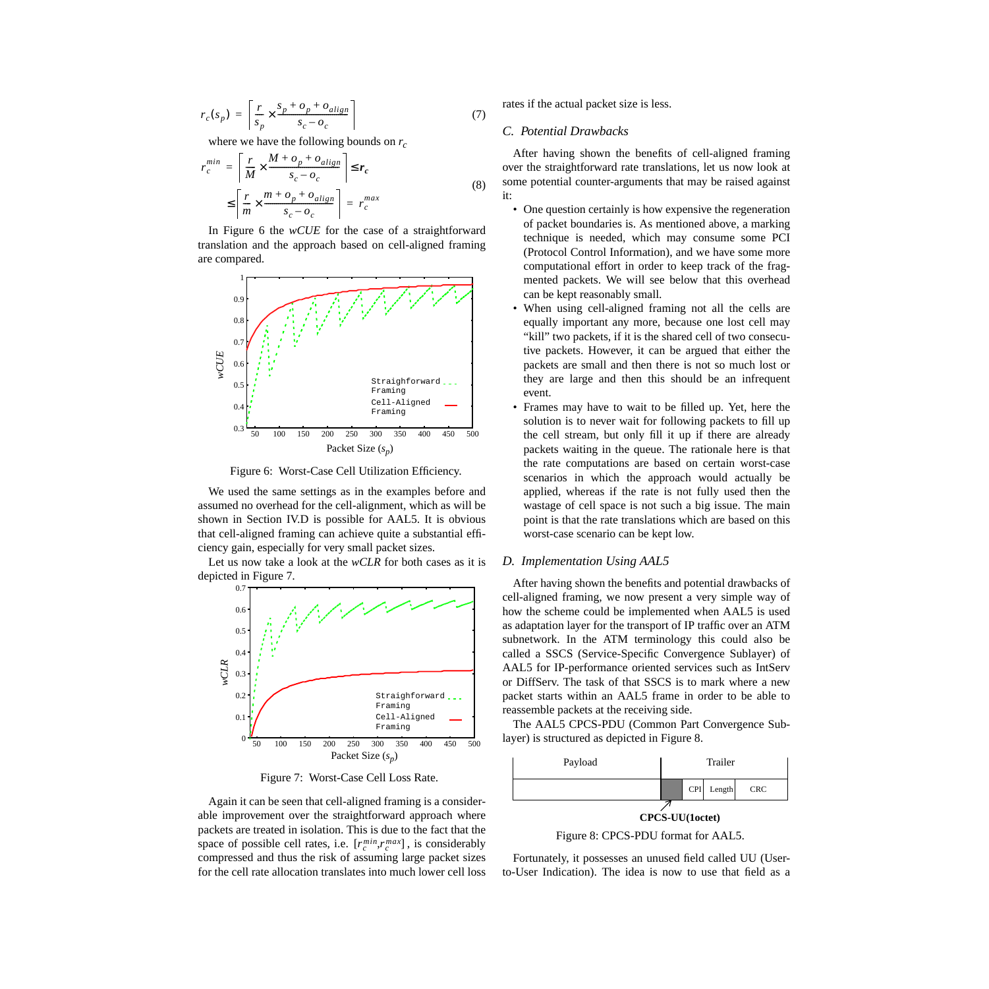<span id="page-5-0"></span>
$$
r_c(s_p) = \left[ \frac{r}{s_p} \times \frac{s_p + o_p + o_{align}}{s_c - o_c} \right]
$$
 (7)

where we have the following bounds on  $r_c$ 

$$
r_c^{min} = \left[ \frac{r}{M} \times \frac{M + o_p + o_{align}}{s_c - o_c} \right] \le r_c
$$
  

$$
\le \left[ \frac{r}{m} \times \frac{m + o_p + o_{align}}{s_c - o_c} \right] = r_c^{max}
$$
 (8)

In Figure 6 the *wCUE* for the case of a straightforward translation and the approach based on cell-aligned framing are compared.



Figure 6: Worst-Case Cell Utilization Efficiency.

We used the same settings as in the examples before and assumed no overhead for the cell-alignment, which as will be shown in Section IV.D is possible for AAL5. It is obvious that cell-aligned framing can achieve quite a substantial efficiency gain, especially for very small packet sizes.

Let us now take a look at the *wCLR* for both cases as it is depicted in Figure 7.



Figure 7: Worst-Case Cell Loss Rate.

Again it can be seen that cell-aligned framing is a considerable improvement over the straightforward approach where packets are treated in isolation. This is due to the fact that the space of possible cell rates, i.e.  $[r_c^{min}, r_c^{max}]$ , is considerably compressed and thus the risk of assuming large packet sizes for the cell rate allocation translates into much lower cell loss

rates if the actual packet size is less.

#### *C. Potential Drawbacks*

After having shown the benefits of cell-aligned framing over the straightforward rate translations, let us now look at some potential counter-arguments that may be raised against it:

- One question certainly is how expensive the regeneration of packet boundaries is. As mentioned above, a marking technique is needed, which may consume some PCI (Protocol Control Information), and we have some more computational effort in order to keep track of the fragmented packets. We will see below that this overhead can be kept reasonably small.
- When using cell-aligned framing not all the cells are equally important any more, because one lost cell may "kill" two packets, if it is the shared cell of two consecutive packets. However, it can be argued that either the packets are small and then there is not so much lost or they are large and then this should be an infrequent event.
- Frames may have to wait to be filled up. Yet, here the solution is to never wait for following packets to fill up the cell stream, but only fill it up if there are already packets waiting in the queue. The rationale here is that the rate computations are based on certain worst-case scenarios in which the approach would actually be applied, whereas if the rate is not fully used then the wastage of cell space is not such a big issue. The main point is that the rate translations which are based on this worst-case scenario can be kept low.

# *D. Implementation Using AAL5*

After having shown the benefits and potential drawbacks of cell-aligned framing, we now present a very simple way of how the scheme could be implemented when AAL5 is used as adaptation layer for the transport of IP traffic over an ATM subnetwork. In the ATM terminology this could also be called a SSCS (Service-Specific Convergence Sublayer) of AAL5 for IP-performance oriented services such as IntServ or DiffServ. The task of that SSCS is to mark where a new packet starts within an AAL5 frame in order to be able to reassemble packets at the receiving side.

The AAL5 CPCS-PDU (Common Part Convergence Sublayer) is structured as depicted in Figure 8.



Figure 8: CPCS-PDU format for AAL5.

Fortunately, it possesses an unused field called UU (Userto-User Indication). The idea is now to use that field as a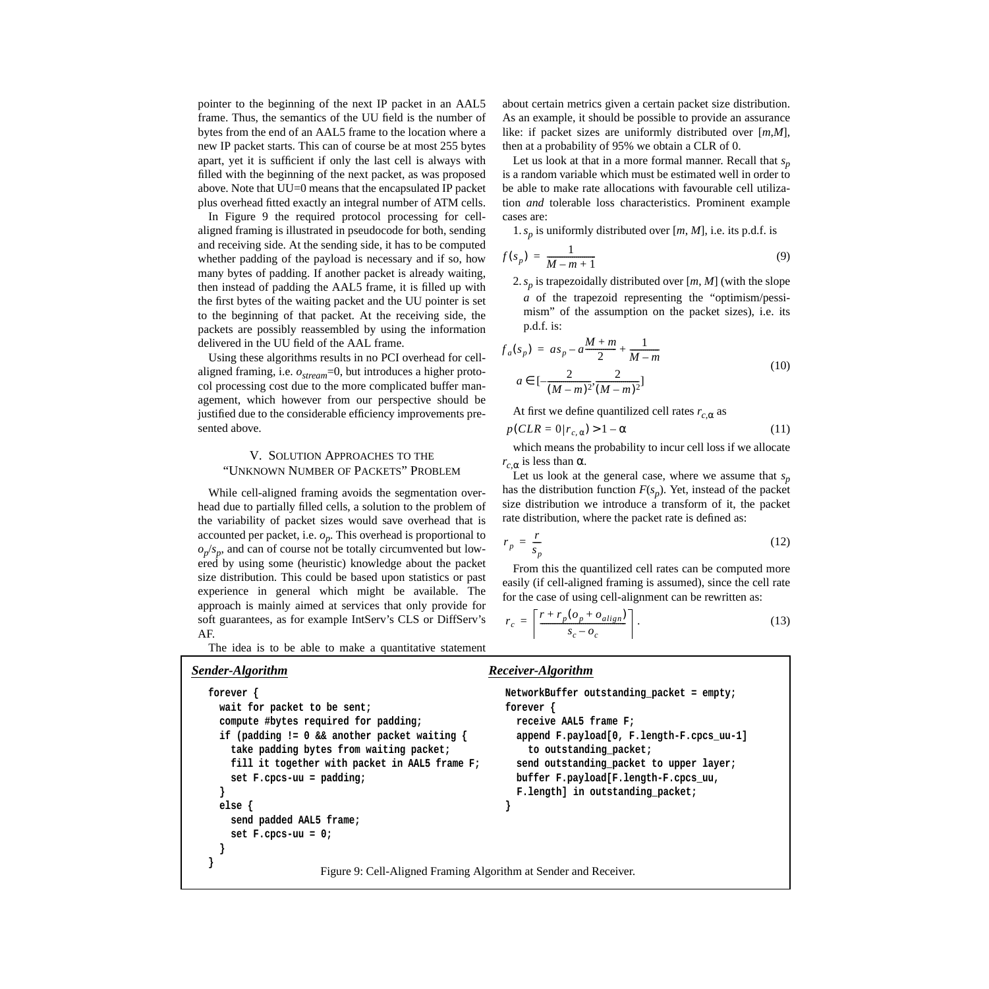<span id="page-6-0"></span>pointer to the beginning of the next IP packet in an AAL5 frame. Thus, the semantics of the UU field is the number of bytes from the end of an AAL5 frame to the location where a new IP packet starts. This can of course be at most 255 bytes apart, yet it is sufficient if only the last cell is always with filled with the beginning of the next packet, as was proposed above. Note that UU=0 means that the encapsulated IP packet plus overhead fitted exactly an integral number of ATM cells.

In Figure 9 the required protocol processing for cellaligned framing is illustrated in pseudocode for both, sending and receiving side. At the sending side, it has to be computed whether padding of the payload is necessary and if so, how many bytes of padding. If another packet is already waiting, then instead of padding the AAL5 frame, it is filled up with the first bytes of the waiting packet and the UU pointer is set to the beginning of that packet. At the receiving side, the packets are possibly reassembled by using the information delivered in the UU field of the AAL frame.

Using these algorithms results in no PCI overhead for cellaligned framing, i.e. *ostream*=0, but introduces a higher protocol processing cost due to the more complicated buffer management, which however from our perspective should be justified due to the considerable efficiency improvements presented above.

# V. SOLUTION APPROACHES TO THE "UNKNOWN NUMBER OF PACKETS" PROBLEM

While cell-aligned framing avoids the segmentation overhead due to partially filled cells, a solution to the problem of the variability of packet sizes would save overhead that is accounted per packet, i.e.  $o_n$ . This overhead is proportional to  $o_p/s_p$ , and can of course not be totally circumvented but lowered by using some (heuristic) knowledge about the packet size distribution. This could be based upon statistics or past experience in general which might be available. The approach is mainly aimed at services that only provide for soft guarantees, as for example IntServ's CLS or DiffServ's AF.

```
The idea is to be able to make a quantitative statement
```
## *Sender-Algorithm*

```
forever {
  wait for packet to be sent;
  compute #bytes required for padding;
  if (padding != 0 && another packet waiting {
    take padding bytes from waiting packet;
    fill it together with packet in AAL5 frame F;
    set F.cpcs-uu = padding;
  }
  else {
    send padded AAL5 frame;
    set F.cpcs-uu = 0;
  }
}
```
about certain metrics given a certain packet size distribution. As an example, it should be possible to provide an assurance like: if packet sizes are uniformly distributed over [*m*,*M*], then at a probability of 95% we obtain a CLR of 0.

Let us look at that in a more formal manner. Recall that  $s_n$ is a random variable which must be estimated well in order to be able to make rate allocations with favourable cell utilization *and* tolerable loss characteristics. Prominent example cases are:

1.  $s_p$  is uniformly distributed over  $[m, M]$ , i.e. its p.d.f. is

$$
f(s_p) = \frac{1}{M - m + 1} \tag{9}
$$

2.  $s_n$  is trapezoidally distributed over  $[m, M]$  (with the slope *a* of the trapezoid representing the "optimism/pessimism" of the assumption on the packet sizes), i.e. its p.d.f. is:

$$
f_a(s_p) = as_p - a\frac{M+m}{2} + \frac{1}{M-m}
$$
  
\n
$$
a \in \left[-\frac{2}{(M-m)^2}\right] \cdot \frac{2}{(M-m)^2}
$$
\n(10)

At first we define quantilized cell rates  $r_{c,\alpha}$  as

$$
p(CLR = 0 | r_{c,\alpha}) > 1 - \alpha \tag{11}
$$

which means the probability to incur cell loss if we allocate  $r_{c,\alpha}$  is less than  $\alpha$ .

Let us look at the general case, where we assume that  $s_p$ has the distribution function  $F(s_p)$ . Yet, instead of the packet size distribution we introduce a transform of it, the packet rate distribution, where the packet rate is defined as:

$$
r_p = \frac{r}{s_p} \tag{12}
$$

From this the quantilized cell rates can be computed more easily (if cell-aligned framing is assumed), since the cell rate for the case of using cell-alignment can be rewritten as:

$$
r_c = \left\lceil \frac{r + r_p(o_p + o_{align})}{s_c - o_c} \right\rceil. \tag{13}
$$

# *Receiver-Algorithm*

```
NetworkBuffer outstanding_packet = empty;
forever {
 receive AAL5 frame F;
  append F.payload[0, F.length-F.cpcs_uu-1]
    to outstanding_packet;
  send outstanding_packet to upper layer;
 buffer F.payload[F.length-F.cpcs_uu,
  F.length] in outstanding_packet;
}
```
Figure 9: Cell-Aligned Framing Algorithm at Sender and Receiver.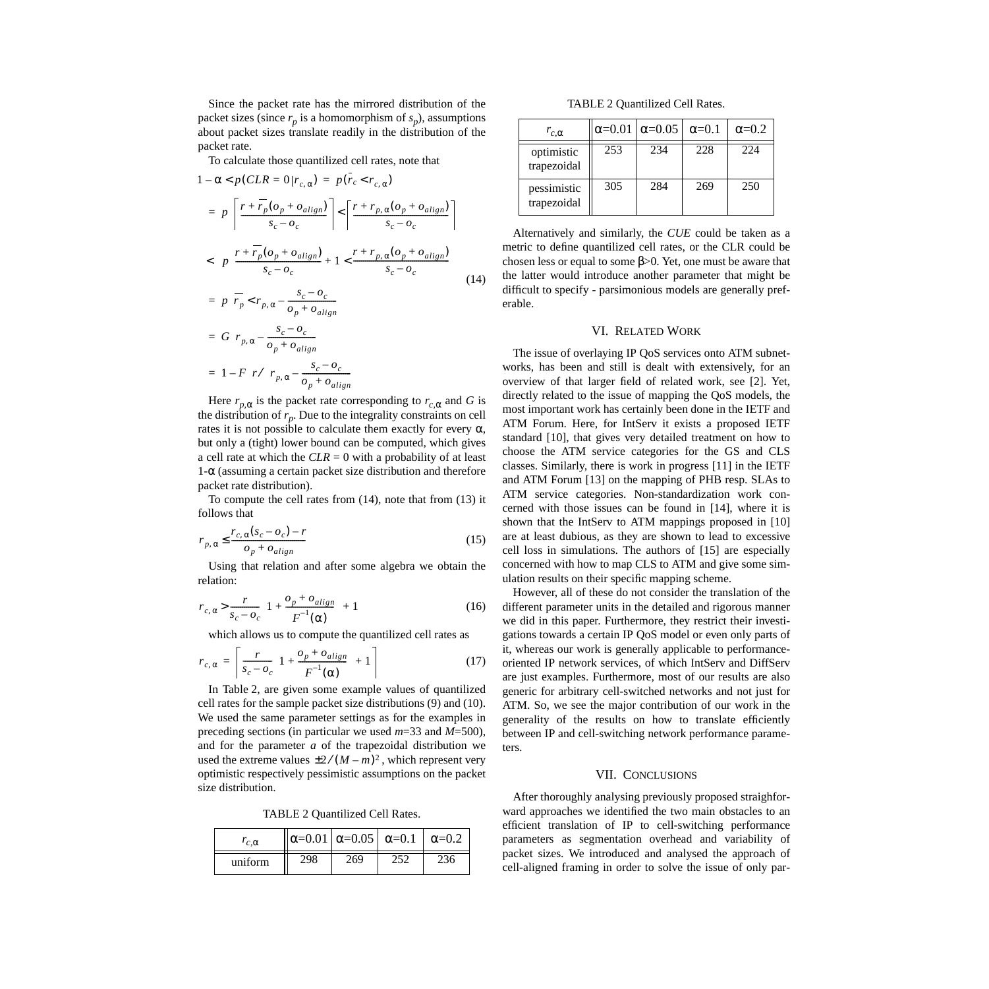Since the packet rate has the mirrored distribution of the packet sizes (since  $r_p$  is a homomorphism of  $s_p$ ), assumptions about packet sizes translate readily in the distribution of the packet rate.

To calculate those quantilized cell rates, note that

$$
1 - \alpha < p(CLR = 0 | r_{c, \alpha}) = p(r_c < r_{c, \alpha})
$$
\n
$$
= p \left( \left\lceil \frac{r + r_p(o_p + o_{align})}{s_c - o_c} \right\rceil \right) < \left\lceil \frac{r + r_{p, \alpha}(o_p + o_{align})}{s_c - o_c} \right\rceil \right)
$$
\n
$$
\langle p \left( \frac{r + r_p(o_p + o_{align})}{s_c - o_c} + 1 < \frac{r + r_{p, \alpha}(o_p + o_{align})}{s_c - o_c} \right)
$$
\n
$$
= p \left( \left\lceil \frac{r}{r_p} < r_{p, \alpha} - \frac{s_c - o_c}{o_p + o_{align}} \right\rceil \right)
$$
\n
$$
= G \left( r_{p, \alpha} - \frac{s_c - o_c}{o_p + o_{align}} \right)
$$
\n
$$
= 1 - F \left( r \left/ \left( r_{p, \alpha} - \frac{s_c - o_c}{o_p + o_{align}} \right) \right)
$$
\n
$$
= 1 - F \left( r \left/ \left( r_{p, \alpha} - \frac{s_c - o_c}{o_p + o_{align}} \right) \right)
$$

Here  $r_{p,\alpha}$  is the packet rate corresponding to  $r_{c,\alpha}$  and *G* is the distribution of  $r_p$ . Due to the integrality constraints on cell rates it is not possible to calculate them exactly for every  $\alpha$ , but only a (tight) lower bound can be computed, which gives a cell rate at which the  $CLR = 0$  with a probability of at least  $1-\alpha$  (assuming a certain packet size distribution and therefore packet rate distribution).

To compute the cell rates from (14), note that from [\(13\)](#page-6-0) it follows that

$$
r_{p,\alpha} \le \frac{r_{c,\alpha}(s_c - o_c) - r}{o_p + o_{align}}\tag{15}
$$

Using that relation and after some algebra we obtain the relation:

$$
r_{c,\,\alpha} > \frac{r}{s_c - o_c} \left( 1 + \frac{o_p + o_{align}}{F^{-1}(\alpha)} \right) + 1 \tag{16}
$$

which allows us to compute the quantilized cell rates as

$$
r_{c,\,\alpha} = \left\lceil \frac{r}{s_c - o_c} \left( 1 + \frac{o_p + o_{align}}{F^{-1}(\alpha)} \right) + 1 \right\rceil \tag{17}
$$

In Table 2, are given some example values of quantilized cell rates for the sample packet size distributions [\(9\)](#page-6-0) and [\(10\)](#page-6-0). We used the same parameter settings as for the examples in preceding sections (in particular we used *m*=33 and *M*=500), and for the parameter *a* of the trapezoidal distribution we used the extreme values  $\pm 2/(M-m)^2$ , which represent very optimistic respectively pessimistic assumptions on the packet size distribution.

TABLE 2 Quantilized Cell Rates.

| $c.\alpha$ | $\alpha = 0.01 \alpha = 0.05 \alpha = 0.1 \alpha = 0.2$ |     |  |
|------------|---------------------------------------------------------|-----|--|
| uniform    | 298                                                     | 269 |  |

TABLE 2 Quantilized Cell Rates.

| $r_{c,\alpha}$             |     | $ \alpha=0.01 \alpha=0.05 $ | $\alpha=0.1$ | $\alpha=0.2$ |
|----------------------------|-----|-----------------------------|--------------|--------------|
| optimistic<br>trapezoidal  | 253 | 234                         | 228          | 224          |
| pessimistic<br>trapezoidal | 305 | 284                         | 269          | 250          |

Alternatively and similarly, the *CUE* could be taken as a metric to define quantilized cell rates, or the CLR could be chosen less or equal to some  $\beta$ >0. Yet, one must be aware that the latter would introduce another parameter that might be difficult to specify - parsimonious models are generally preferable.

# VI. RELATED WORK

The issue of overlaying IP QoS services onto ATM subnetworks, has been and still is dealt with extensively, for an overview of that larger field of related work, see [2]. Yet, directly related to the issue of mapping the QoS models, the most important work has certainly been done in the IETF and ATM Forum. Here, for IntServ it exists a proposed IETF standard [10], that gives very detailed treatment on how to choose the ATM service categories for the GS and CLS classes. Similarly, there is work in progress [11] in the IETF and ATM Forum [13] on the mapping of PHB resp. SLAs to ATM service categories. Non-standardization work concerned with those issues can be found in [14], where it is shown that the IntServ to ATM mappings proposed in [10] are at least dubious, as they are shown to lead to excessive cell loss in simulations. The authors of [15] are especially concerned with how to map CLS to ATM and give some simulation results on their specific mapping scheme.

However, all of these do not consider the translation of the different parameter units in the detailed and rigorous manner we did in this paper. Furthermore, they restrict their investigations towards a certain IP QoS model or even only parts of it, whereas our work is generally applicable to performanceoriented IP network services, of which IntServ and DiffServ are just examples. Furthermore, most of our results are also generic for arbitrary cell-switched networks and not just for ATM. So, we see the major contribution of our work in the generality of the results on how to translate efficiently between IP and cell-switching network performance parameters.

#### VII. CONCLUSIONS

After thoroughly analysing previously proposed straighforward approaches we identified the two main obstacles to an efficient translation of IP to cell-switching performance parameters as segmentation overhead and variability of packet sizes. We introduced and analysed the approach of cell-aligned framing in order to solve the issue of only par